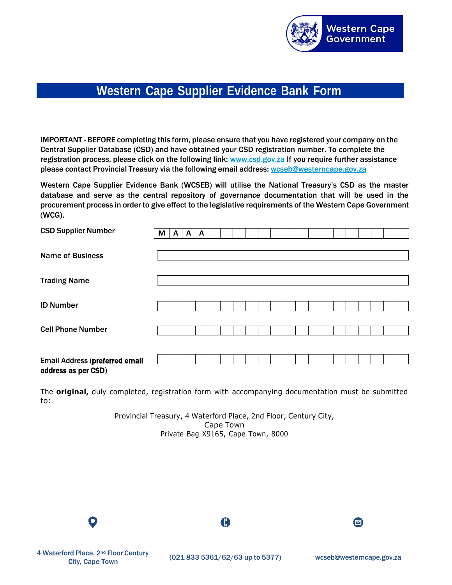

## **Western Cape Supplier Evidence Bank Form**

IMPORTANT - BEFORE completing this form, please ensure that you have registered your company on the Central Supplier Database (CSD) and have obtained your CSD registration number. To complete the registration process, please click on the following link: [www.csd.gov.za](http://www.csd.gov.za/) If you require further assistance please contact Provincial Treasury via the following email address: [wcseb@westerncape.gov.za](mailto:wcseb@westerncape.gov.za)

Western Cape Supplier Evidence Bank (WCSEB) will utilise the National Treasury's CSD as the master database and serve as the central repository of governance documentation that will be used in the procurement process in order to give effect to the legislative requirements of the Western Cape Government (WCG).

| <b>CSD Supplier Number</b>                            | M | A | A | A |  |  |  |  |  |  |  |  |
|-------------------------------------------------------|---|---|---|---|--|--|--|--|--|--|--|--|
| <b>Name of Business</b>                               |   |   |   |   |  |  |  |  |  |  |  |  |
| <b>Trading Name</b>                                   |   |   |   |   |  |  |  |  |  |  |  |  |
| <b>ID Number</b>                                      |   |   |   |   |  |  |  |  |  |  |  |  |
| <b>Cell Phone Number</b>                              |   |   |   |   |  |  |  |  |  |  |  |  |
| Email Address (preferred email<br>address as per CSD) |   |   |   |   |  |  |  |  |  |  |  |  |

The **original,** duly completed, registration form with accompanying documentation must be submitted to:

> Provincial Treasury, 4 Waterford Place, 2nd Floor, Century City, Cape Town Private Bag X9165, Cape Town, 8000

O

 $\mathbf \Phi$ 

◙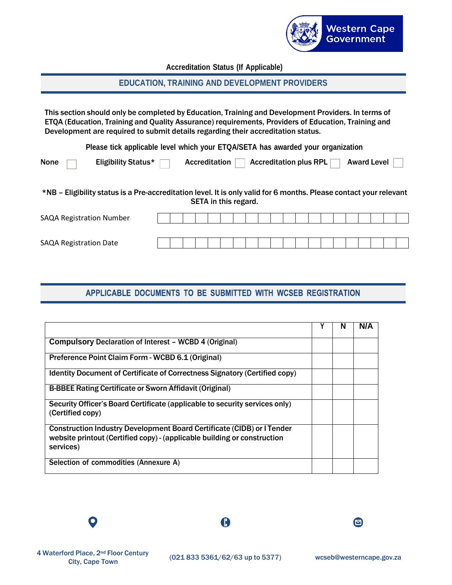

**Accreditation Status (If Applicable)**

## **EDUCATION, TRAINING AND DEVELOPMENT PROVIDERS**

This section should only be completed by Education, Training and Development Providers. In terms of ETQA (Education, Training and Quality Assurance) requirements, Providers of Education, Training and Development are required to submit details regarding their accreditation status.

**Please tick applicable level which your ETQA/SETA has awarded your organization**

| None $\Box$ | Eligibility Status $\blacktriangleright$ | Accreditation $\Box$ Accreditation plus RPL $\Box$ Award Level $\Box$ |  |
|-------------|------------------------------------------|-----------------------------------------------------------------------|--|
|             |                                          |                                                                       |  |

\*NB – Eligibility status is a Pre-accreditation level. It is only valid for 6 months. Please contact your relevant SETA in this regard.

| <b>SAQA Registration Number</b> |  |  |  |  |  |  |  |  |  |  |
|---------------------------------|--|--|--|--|--|--|--|--|--|--|
|                                 |  |  |  |  |  |  |  |  |  |  |
| <b>SAQA Registration Date</b>   |  |  |  |  |  |  |  |  |  |  |

## APPLICABLE DOCUMENTS TO BE SUBMITTED WITH WCSEB REGISTRATION

|                                                                                                                                                                 | N | N/A |
|-----------------------------------------------------------------------------------------------------------------------------------------------------------------|---|-----|
| <b>Compulsory Declaration of Interest - WCBD 4 (Original)</b>                                                                                                   |   |     |
| Preference Point Claim Form - WCBD 6.1 (Original)                                                                                                               |   |     |
| <b>Identity Document of Certificate of Correctness Signatory (Certified copy)</b>                                                                               |   |     |
| B-BBEE Rating Certificate or Sworn Affidavit (Original)                                                                                                         |   |     |
| Security Officer's Board Certificate (applicable to security services only)<br>(Certified copy)                                                                 |   |     |
| Construction Industry Development Board Certificate (CIDB) or I Tender<br>website printout (Certified copy) - (applicable building or construction<br>services) |   |     |
| Selection of commodities (Annexure A)                                                                                                                           |   |     |

O

 $\mathbf \Theta$ 

◙